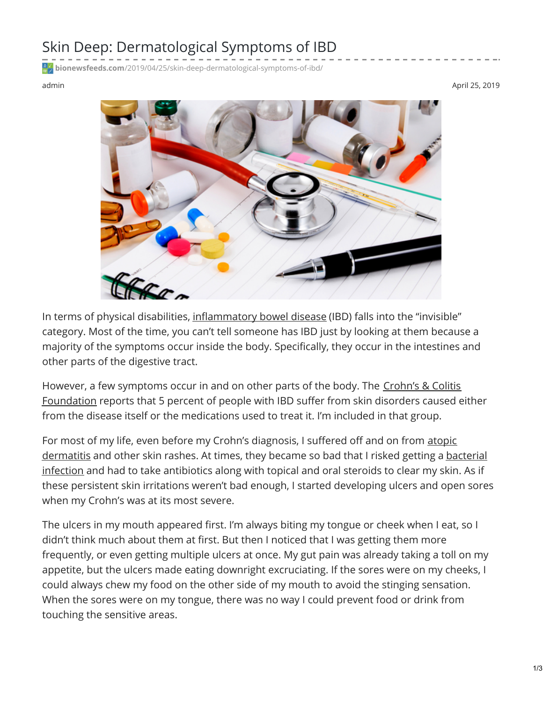## Skin Deep: Dermatological Symptoms of IBD

**bionewsfeeds.com**[/2019/04/25/skin-deep-dermatological-symptoms-of-ibd/](https://bionewsfeeds.com/2019/04/25/skin-deep-dermatological-symptoms-of-ibd/)

admin April 25, 2019



In terms of physical disabilities, [inflammatory](https://ibdnewstoday.com/ibd-overview/) bowel disease (IBD) falls into the "invisible" category. Most of the time, you can't tell someone has IBD just by looking at them because a majority of the symptoms occur inside the body. Specifically, they occur in the intestines and other parts of the digestive tract.

However, a few [symptoms](https://www.crohnscolitisfoundation.org/resources/skin-complications-of-ibd.html) occur in and on other parts of the body. The Crohn's & Colitis Foundation reports that 5 percent of people with IBD suffer from skin disorders caused either from the disease itself or the medications used to treat it. I'm included in that group.

For most of my life, even before my Crohn's [diagnosis,](https://www.mayoclinic.org/diseases-conditions/atopic-dermatitis-eczema/symptoms-causes/syc-20353273) I suffered off and on from atopic [dermatitis](https://medlineplus.gov/bacterialinfections.html) and other skin rashes. At times, they became so bad that I risked getting a bacterial infection and had to take antibiotics along with topical and oral steroids to clear my skin. As if these persistent skin irritations weren't bad enough, I started developing ulcers and open sores when my Crohn's was at its most severe.

The ulcers in my mouth appeared first. I'm always biting my tongue or cheek when I eat, so I didn't think much about them at first. But then I noticed that I was getting them more frequently, or even getting multiple ulcers at once. My gut pain was already taking a toll on my appetite, but the ulcers made eating downright excruciating. If the sores were on my cheeks, I could always chew my food on the other side of my mouth to avoid the stinging sensation. When the sores were on my tongue, there was no way I could prevent food or drink from touching the sensitive areas.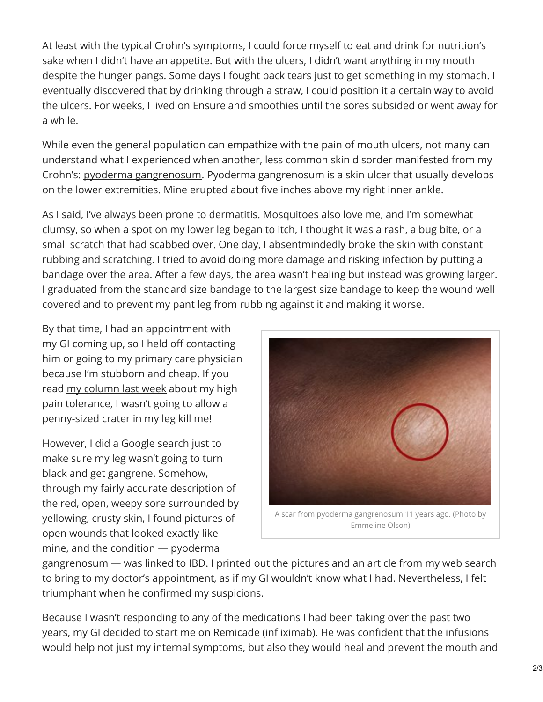At least with the typical Crohn's symptoms, I could force myself to eat and drink for nutrition's sake when I didn't have an appetite. But with the ulcers, I didn't want anything in my mouth despite the hunger pangs. Some days I fought back tears just to get something in my stomach. I eventually discovered that by drinking through a straw, I could position it a certain way to avoid the ulcers. For weeks, I lived on [Ensure](https://ensure.com/) and smoothies until the sores subsided or went away for a while.

While even the general population can empathize with the pain of mouth ulcers, not many can understand what I experienced when another, less common skin disorder manifested from my Crohn's: pyoderma [gangrenosum](https://www.mayoclinic.org/diseases-conditions/pyoderma-gangrenosum/symptoms-causes/syc-20350386). Pyoderma gangrenosum is a skin ulcer that usually develops on the lower extremities. Mine erupted about five inches above my right inner ankle.

As I said, I've always been prone to dermatitis. Mosquitoes also love me, and I'm somewhat clumsy, so when a spot on my lower leg began to itch, I thought it was a rash, a bug bite, or a small scratch that had scabbed over. One day, I absentmindedly broke the skin with constant rubbing and scratching. I tried to avoid doing more damage and risking infection by putting a bandage over the area. After a few days, the area wasn't healing but instead was growing larger. I graduated from the standard size bandage to the largest size bandage to keep the wound well covered and to prevent my pant leg from rubbing against it and making it worse.

By that time, I had an appointment with my GI coming up, so I held off contacting him or going to my primary care physician because I'm stubborn and cheap. If you read my [column](https://ibdnewstoday.com/2019/04/18/work-working-live-employment-change/) last week about my high pain tolerance, I wasn't going to allow a penny-sized crater in my leg kill me!

However, I did a Google search just to make sure my leg wasn't going to turn black and get gangrene. Somehow, through my fairly accurate description of the red, open, weepy sore surrounded by yellowing, crusty skin, I found pictures of open wounds that looked exactly like mine, and the condition — pyoderma



gangrenosum — was linked to IBD. I printed out the pictures and an article from my web search to bring to my doctor's appointment, as if my GI wouldn't know what I had. Nevertheless, I felt triumphant when he confirmed my suspicions.

Because I wasn't responding to any of the medications I had been taking over the past two years, my GI decided to start me on Remicade [\(infliximab\)](https://www.remicade.com/crohns-disease). He was confident that the infusions would help not just my internal symptoms, but also they would heal and prevent the mouth and